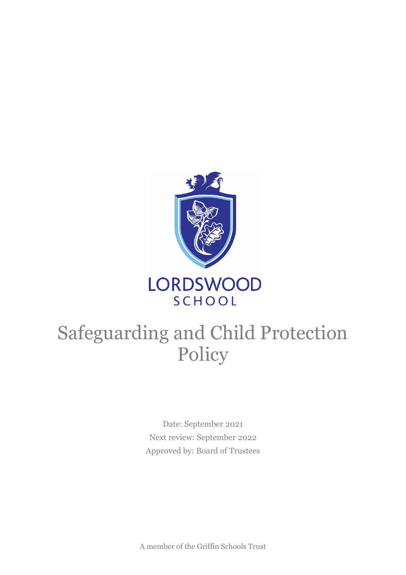

# Safeguarding and Child Protection Policy

Date: September 2021 Next review: September 2022 Approved by: Board of Trustees

A member of the Griffin Schools Trust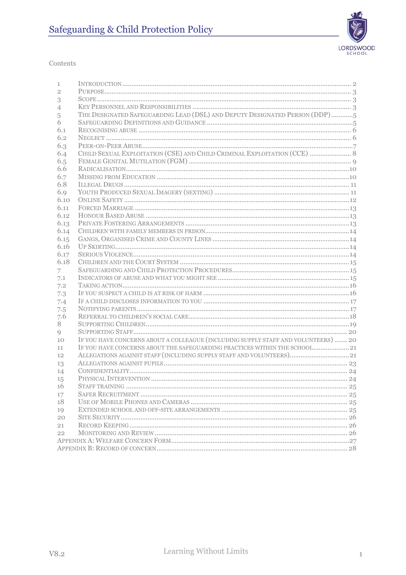

## Contents

| 1              |                                                                                    |  |
|----------------|------------------------------------------------------------------------------------|--|
| $\overline{2}$ |                                                                                    |  |
| 3              |                                                                                    |  |
| $\overline{4}$ |                                                                                    |  |
| 5              | THE DESIGNATED SAFEGUARDING LEAD (DSL) AND DEPUTY DESIGNATED PERSON (DDP)5         |  |
| 6              |                                                                                    |  |
| 6.1            |                                                                                    |  |
| 6.2            |                                                                                    |  |
| 6.3            |                                                                                    |  |
| 6.4            | CHILD SEXUAL EXPLOITATION (CSE) AND CHILD CRIMINAL EXPLOITATION (CCE)  8           |  |
| 6.5            |                                                                                    |  |
| 6.6            |                                                                                    |  |
| 6.7            |                                                                                    |  |
| 6.8            |                                                                                    |  |
| 6.9            |                                                                                    |  |
| 6.10           |                                                                                    |  |
| 6.11           |                                                                                    |  |
| 6.12           |                                                                                    |  |
| 6.13           |                                                                                    |  |
| 6.14           |                                                                                    |  |
| 6.15           |                                                                                    |  |
| 6.16           |                                                                                    |  |
| 6.17           |                                                                                    |  |
| 6.18           |                                                                                    |  |
| 7              |                                                                                    |  |
| 7.1            |                                                                                    |  |
| 7.2            |                                                                                    |  |
| 7.3            |                                                                                    |  |
| 7.4            |                                                                                    |  |
| 7.5            |                                                                                    |  |
| 7.6            |                                                                                    |  |
| 8              |                                                                                    |  |
| 9              |                                                                                    |  |
| 10             | IF YOU HAVE CONCERNS ABOUT A COLLEAGUE (INCLUDING SUPPLY STAFF AND VOLUNTEERS)  20 |  |
| 11             | IF YOU HAVE CONCERNS ABOUT THE SAFEGUARDING PRACTICES WITHIN THE SCHOOL 21         |  |
| 12             | ALLEGATIONS AGAINST STAFF (INCLUDING SUPPLY STAFF AND VOLUNTEERS)21                |  |
| 13             |                                                                                    |  |
| 14             |                                                                                    |  |
| 15             |                                                                                    |  |
| 16             |                                                                                    |  |
| 17             |                                                                                    |  |
| 18             |                                                                                    |  |
| 19             |                                                                                    |  |
| 20             |                                                                                    |  |
| 21             |                                                                                    |  |
| 22             |                                                                                    |  |
|                |                                                                                    |  |
|                |                                                                                    |  |
|                |                                                                                    |  |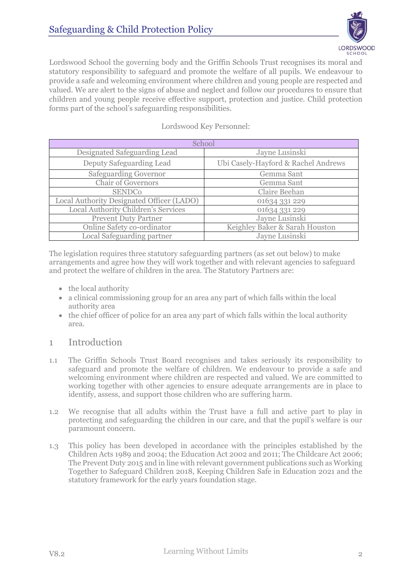

Lordswood School the governing body and the Griffin Schools Trust recognises its moral and statutory responsibility to safeguard and promote the welfare of all pupils. We endeavour to provide a safe and welcoming environment where children and young people are respected and valued. We are alert to the signs of abuse and neglect and follow our procedures to ensure that children and young people receive effective support, protection and justice. Child protection forms part of the school's safeguarding responsibilities.

| Lordswood Key Personnel: |  |  |
|--------------------------|--|--|
|--------------------------|--|--|

| School                                    |                                     |  |
|-------------------------------------------|-------------------------------------|--|
| Designated Safeguarding Lead              | Jayne Lusinski                      |  |
| Deputy Safeguarding Lead                  | Ubi Casely-Hayford & Rachel Andrews |  |
| <b>Safeguarding Governor</b>              | Gemma Sant                          |  |
| <b>Chair of Governors</b>                 | Gemma Sant                          |  |
| <b>SENDCo</b>                             | Claire Beehan                       |  |
| Local Authority Designated Officer (LADO) | 01634 331 229                       |  |
| Local Authority Children's Services       | 01634 331 229                       |  |
| <b>Prevent Duty Partner</b>               | Jayne Lusinski                      |  |
| Online Safety co-ordinator                | Keighley Baker & Sarah Houston      |  |
| Local Safeguarding partner                | Jayne Lusinski                      |  |

The legislation requires three statutory safeguarding partners (as set out below) to make arrangements and agree how they will work together and with relevant agencies to safeguard and protect the welfare of children in the area. The Statutory Partners are:

- the local authority
- a clinical commissioning group for an area any part of which falls within the local authority area
- the chief officer of police for an area any part of which falls within the local authority area.

# <span id="page-2-0"></span>1 Introduction

- 1.1 The Griffin Schools Trust Board recognises and takes seriously its responsibility to safeguard and promote the welfare of children. We endeavour to provide a safe and welcoming environment where children are respected and valued. We are committed to working together with other agencies to ensure adequate arrangements are in place to identify, assess, and support those children who are suffering harm.
- 1.2 We recognise that all adults within the Trust have a full and active part to play in protecting and safeguarding the children in our care, and that the pupil's welfare is our paramount concern.
- 1.3 This policy has been developed in accordance with the principles established by the Children Acts 1989 and 2004; the Education Act 2002 and 2011; The Childcare Act 2006; The Prevent Duty 2015 and in line with relevant government publications such as Working Together to Safeguard Children 2018, Keeping Children Safe in Education 2021 and the statutory framework for the early years foundation stage.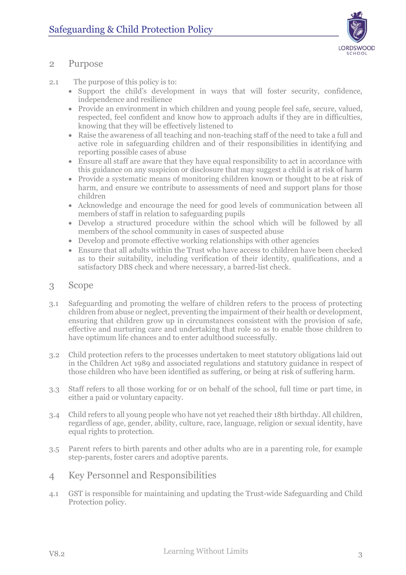

# <span id="page-3-0"></span>2 Purpose

- 2.1 The purpose of this policy is to:
	- Support the child's development in ways that will foster security, confidence, independence and resilience
	- Provide an environment in which children and young people feel safe, secure, valued, respected, feel confident and know how to approach adults if they are in difficulties, knowing that they will be effectively listened to
	- Raise the awareness of all teaching and non-teaching staff of the need to take a full and active role in safeguarding children and of their responsibilities in identifying and reporting possible cases of abuse
	- Ensure all staff are aware that they have equal responsibility to act in accordance with this guidance on any suspicion or disclosure that may suggest a child is at risk of harm
	- Provide a systematic means of monitoring children known or thought to be at risk of harm, and ensure we contribute to assessments of need and support plans for those children
	- Acknowledge and encourage the need for good levels of communication between all members of staff in relation to safeguarding pupils
	- Develop a structured procedure within the school which will be followed by all members of the school community in cases of suspected abuse
	- Develop and promote effective working relationships with other agencies
	- Ensure that all adults within the Trust who have access to children have been checked as to their suitability, including verification of their identity, qualifications, and a satisfactory DBS check and where necessary, a barred-list check.

## <span id="page-3-1"></span>3 Scope

- 3.1 Safeguarding and promoting the welfare of children refers to the process of protecting children from abuse or neglect, preventing the impairment of their health or development, ensuring that children grow up in circumstances consistent with the provision of safe, effective and nurturing care and undertaking that role so as to enable those children to have optimum life chances and to enter adulthood successfully.
- 3.2 Child protection refers to the processes undertaken to meet statutory obligations laid out in the [Children Act 1989](http://www.opsi.gov.uk/acts/acts1989/ukpga_19890041_en_2) and associated regulations and statutory guidance in respect of those children who have been identified as suffering, or being at risk of suffering harm.
- 3.3 Staff refers to all those working for or on behalf of the school, full time or part time, in either a paid or voluntary capacity.
- 3.4 Child refers to all young people who have not yet reached their 18th birthday. All children, regardless of age, gender, ability, culture, race, language, religion or sexual identity, have equal rights to protection.
- 3.5 Parent refers to birth parents and other adults who are in a parenting role, for example step-parents, foster carers and adoptive parents.
- <span id="page-3-2"></span>4 Key Personnel and Responsibilities
- 4.1 GST is responsible for maintaining and updating the Trust-wide Safeguarding and Child Protection policy.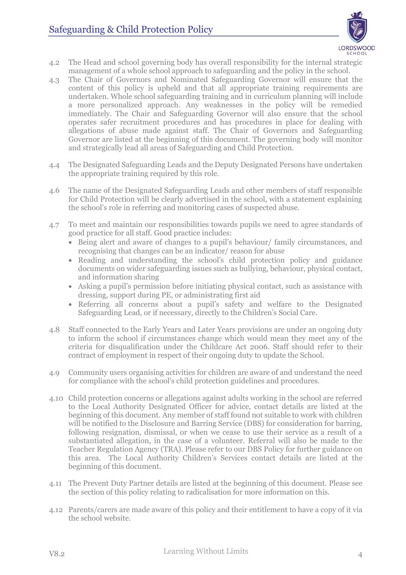

- 4.2 The Head and school governing body has overall responsibility for the internal strategic management of a whole school approach to safeguarding and the policy in the school.
- 4.3 The Chair of Governors and Nominated Safeguarding Governor will ensure that the content of this policy is upheld and that all appropriate training requirements are undertaken. Whole school safeguarding training and in curriculum planning will include a more personalized approach. Any weaknesses in the policy will be remedied immediately. The Chair and Safeguarding Governor will also ensure that the school operates safer recruitment procedures and has procedures in place for dealing with allegations of abuse made against staff. The Chair of Governors and Safeguarding Governor are listed at the beginning of this document. The governing body will monitor and strategically lead all areas of Safeguarding and Child Protection.
- 4.4 The Designated Safeguarding Leads and the Deputy Designated Persons have undertaken the appropriate training required by this role.
- 4.6 The name of the Designated Safeguarding Leads and other members of staff responsible for Child Protection will be clearly advertised in the school, with a statement explaining the school's role in referring and monitoring cases of suspected abuse.
- 4.7 To meet and maintain our responsibilities towards pupils we need to agree standards of good practice for all staff. Good practice includes:
	- Being alert and aware of changes to a pupil's behaviour/ family circumstances, and recognising that changes can be an indicator/ reason for abuse
	- Reading and understanding the school's child protection policy and guidance documents on wider safeguarding issues such as bullying, behaviour, physical contact, and information sharing
	- Asking a pupil's permission before initiating physical contact, such as assistance with dressing, support during PE, or administrating first aid
	- Referring all concerns about a pupil's safety and welfare to the Designated Safeguarding Lead, or if necessary, directly to the Children's Social Care.
- 4.8 Staff connected to the Early Years and Later Years provisions are under an ongoing duty to inform the school if circumstances change which would mean they meet any of the criteria for disqualification under the Childcare Act 2006. Staff should refer to their contract of employment in respect of their ongoing duty to update the School.
- 4.9 Community users organising activities for children are aware of and understand the need for compliance with the school's child protection guidelines and procedures.
- 4.10 Child protection concerns or allegations against adults working in the school are referred to the Local Authority Designated Officer for advice, contact details are listed at the beginning of this document. Any member of staff found not suitable to work with children will be notified to the Disclosure and Barring Service (DBS) for consideration for barring, following resignation, dismissal, or when we cease to use their service as a result of a substantiated allegation, in the case of a volunteer. Referral will also be made to the Teacher Regulation Agency (TRA). Please refer to our DBS Policy for further guidance on this area. The Local Authority Children's Services contact details are listed at the beginning of this document.
- 4.11 The Prevent Duty Partner details are listed at the beginning of this document. Please see the section of this policy relating to radicalisation for more information on this.
- 4.12 Parents/carers are made aware of this policy and their entitlement to have a copy of it via the school website.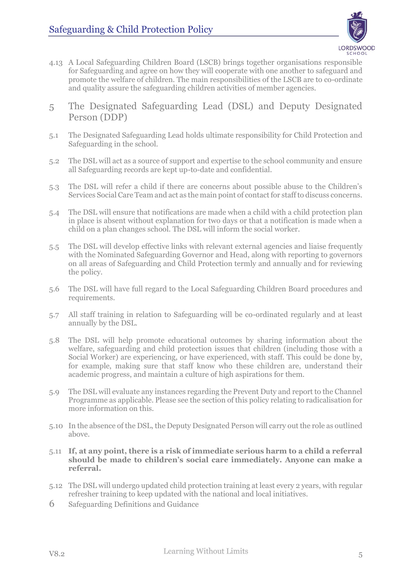

- 4.13 A Local Safeguarding Children Board (LSCB) brings together organisations responsible for Safeguarding and agree on how they will cooperate with one another to safeguard and promote the welfare of children. The main responsibilities of the LSCB are to co-ordinate and quality assure the safeguarding children activities of member agencies.
- <span id="page-5-0"></span>5 The Designated Safeguarding Lead (DSL) and Deputy Designated Person (DDP)
- 5.1 The Designated Safeguarding Lead holds ultimate responsibility for Child Protection and Safeguarding in the school.
- 5.2 The DSL will act as a source of support and expertise to the school community and ensure all Safeguarding records are kept up-to-date and confidential.
- 5.3 The DSL will refer a child if there are concerns about possible abuse to the Children's Services Social Care Team and act as the main point of contact for staff to discuss concerns.
- 5.4 The DSL will ensure that notifications are made when a child with a child protection plan in place is absent without explanation for two days or that a notification is made when a child on a plan changes school. The DSL will inform the social worker.
- 5.5 The DSL will develop effective links with relevant external agencies and liaise frequently with the Nominated Safeguarding Governor and Head, along with reporting to governors on all areas of Safeguarding and Child Protection termly and annually and for reviewing the policy.
- 5.6 The DSL will have full regard to the Local Safeguarding Children Board procedures and requirements.
- 5.7 All staff training in relation to Safeguarding will be co-ordinated regularly and at least annually by the DSL.
- 5.8 The DSL will help promote educational outcomes by sharing information about the welfare, safeguarding and child protection issues that children (including those with a Social Worker) are experiencing, or have experienced, with staff. This could be done by, for example, making sure that staff know who these children are, understand their academic progress, and maintain a culture of high aspirations for them.
- 5.9 The DSL will evaluate any instances regarding the Prevent Duty and report to the Channel Programme as applicable. Please see the section of this policy relating to radicalisation for more information on this.
- 5.10 In the absence of the DSL, the Deputy Designated Person will carry out the role as outlined above.
- 5.11 **If, at any point, there is a risk of immediate serious harm to a child a referral should be made to children's social care immediately. Anyone can make a referral.**
- 5.12 The DSL will undergo updated child protection training at least every 2 years, with regular refresher training to keep updated with the national and local initiatives.
- <span id="page-5-1"></span>6 Safeguarding Definitions and Guidance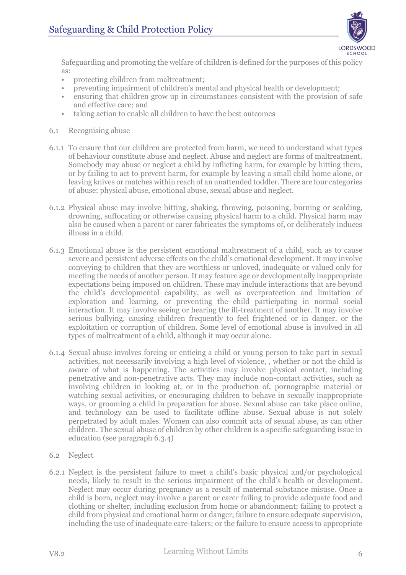

Safeguarding and promoting the welfare of children is defined for the purposes of this policy as:

- protecting children from maltreatment;
- preventing impairment of children's mental and physical health or development;
- ensuring that children grow up in circumstances consistent with the provision of safe and effective care; and
- taking action to enable all children to have the best outcomes
- <span id="page-6-0"></span>6.1 Recognising abuse
- 6.1.1 To ensure that our children are protected from harm, we need to understand what types of behaviour constitute abuse and neglect. Abuse and neglect are forms of maltreatment. Somebody may abuse or neglect a child by inflicting harm, for example by hitting them, or by failing to act to prevent harm, for example by leaving a small child home alone, or leaving knives or matches within reach of an unattended toddler. There are four categories of abuse: physical abuse, emotional abuse, sexual abuse and neglect.
- 6.1.2 Physical abuse may involve hitting, shaking, throwing, poisoning, burning or scalding, drowning, suffocating or otherwise causing physical harm to a child. Physical harm may also be caused when a parent or carer fabricates the symptoms of, or deliberately induces illness in a child.
- 6.1.3 Emotional abuse is the persistent emotional maltreatment of a child, such as to cause severe and persistent adverse effects on the child's emotional development. It may involve conveying to children that they are worthless or unloved, inadequate or valued only for meeting the needs of another person. It may feature age or developmentally inappropriate expectations being imposed on children. These may include interactions that are beyond the child's developmental capability, as well as overprotection and limitation of exploration and learning, or preventing the child participating in normal social interaction. It may involve seeing or hearing the ill-treatment of another. It may involve serious bullying, causing children frequently to feel frightened or in danger, or the exploitation or corruption of children. Some level of emotional abuse is involved in all types of maltreatment of a child, although it may occur alone.
- 6.1.4 Sexual abuse involves forcing or enticing a child or young person to take part in sexual activities, not necessarily involving a high level of violence, , whether or not the child is aware of what is happening. The activities may involve physical contact, including penetrative and non-penetrative acts. They may include non-contact activities, such as involving children in looking at, or in the production of, pornographic material or watching sexual activities, or encouraging children to behave in sexually inappropriate ways, or grooming a child in preparation for abuse. Sexual abuse can take place online, and technology can be used to facilitate offline abuse. Sexual abuse is not solely perpetrated by adult males. Women can also commit acts of sexual abuse, as can other children. The sexual abuse of children by other children is a specific safeguarding issue in education (see paragraph 6.3.4)
- <span id="page-6-1"></span>6.2 Neglect
- 6.2.1 Neglect is the persistent failure to meet a child's basic physical and/or psychological needs, likely to result in the serious impairment of the child's health or development. Neglect may occur during pregnancy as a result of maternal substance misuse. Once a child is born, neglect may involve a parent or carer failing to provide adequate food and clothing or shelter, including exclusion from home or abandonment; failing to protect a child from physical and emotional harm or danger; failure to ensure adequate supervision, including the use of inadequate care-takers; or the failure to ensure access to appropriate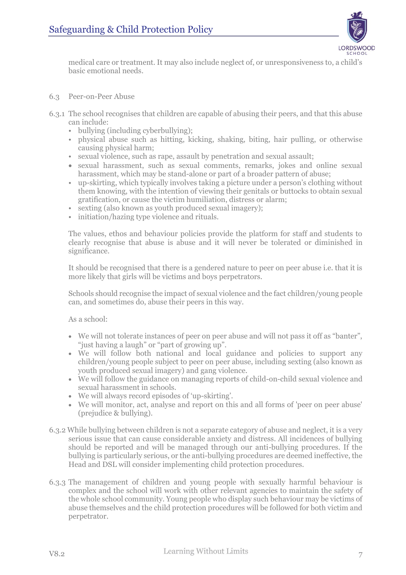

medical care or treatment. It may also include neglect of, or unresponsiveness to, a child's basic emotional needs.

#### <span id="page-7-0"></span>6.3 Peer-on-Peer Abuse

- 6.3.1 The school recognises that children are capable of abusing their peers, and that this abuse can include:
	- bullying (including cyberbullying);
	- physical abuse such as hitting, kicking, shaking, biting, hair pulling, or otherwise causing physical harm;
	- sexual violence, such as rape, assault by penetration and sexual assault;
	- sexual harassment, such as sexual comments, remarks, jokes and online sexual harassment, which may be stand-alone or part of a broader pattern of abuse;
	- up-skirting, which typically involves taking a picture under a person's clothing without them knowing, with the intention of viewing their genitals or buttocks to obtain sexual gratification, or cause the victim humiliation, distress or alarm;
	- sexting (also known as youth produced sexual imagery);
	- initiation/hazing type violence and rituals.

The values, ethos and behaviour policies provide the platform for staff and students to clearly recognise that abuse is abuse and it will never be tolerated or diminished in significance.

It should be recognised that there is a gendered nature to peer on peer abuse i.e. that it is more likely that girls will be victims and boys perpetrators.

Schools should recognise the impact of sexual violence and the fact children/young people can, and sometimes do, abuse their peers in this way.

As a school:

- We will not tolerate instances of peer on peer abuse and will not pass it off as "banter", "just having a laugh" or "part of growing up".
- We will follow both national and local guidance and policies to support any children/young people subject to peer on peer abuse, including sexting (also known as youth produced sexual imagery) and gang violence.
- We will follow the guidance on managing reports of child-on-child sexual violence and sexual harassment in schools.
- We will always record episodes of 'up-skirting'.
- We will monitor, act, analyse and report on this and all forms of 'peer on peer abuse' (prejudice & bullying).
- 6.3.2 While bullying between children is not a separate category of abuse and neglect, it is a very serious issue that can cause considerable anxiety and distress. All incidences of bullying should be reported and will be managed through our anti-bullying procedures. If the bullying is particularly serious, or the anti-bullying procedures are deemed ineffective, the Head and DSL will consider implementing child protection procedures.
- 6.3.3 The management of children and young people with sexually harmful behaviour is complex and the school will work with other relevant agencies to maintain the safety of the whole school community. Young people who display such behaviour may be victims of abuse themselves and the child protection procedures will be followed for both victim and perpetrator.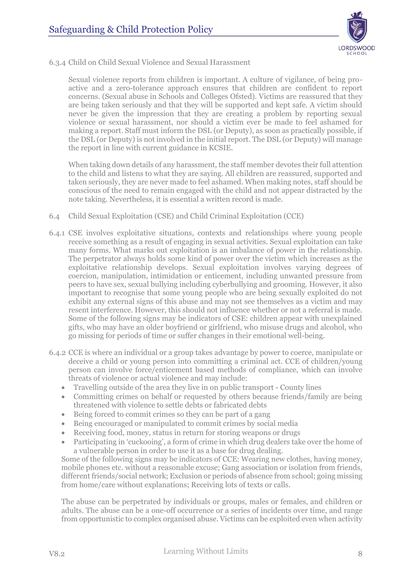

6.3.4 Child on Child Sexual Violence and Sexual Harassment

Sexual violence reports from children is important. A culture of vigilance, of being proactive and a zero-tolerance approach ensures that children are confident to report concerns. (Sexual abuse in Schools and Colleges Ofsted). Victims are reassured that they are being taken seriously and that they will be supported and kept safe. A victim should never be given the impression that they are creating a problem by reporting sexual violence or sexual harassment, nor should a victim ever be made to feel ashamed for making a report. Staff must inform the DSL (or Deputy), as soon as practically possible, if the DSL (or Deputy) is not involved in the initial report. The DSL (or Deputy) will manage the report in line with current guidance in KCSIE.

When taking down details of any harassment, the staff member devotes their full attention to the child and listens to what they are saying. All children are reassured, supported and taken seriously, they are never made to feel ashamed. When making notes, staff should be conscious of the need to remain engaged with the child and not appear distracted by the note taking. Nevertheless, it is essential a written record is made.

- <span id="page-8-0"></span>6.4 Child Sexual Exploitation (CSE) and Child Criminal Exploitation (CCE)
- 6.4.1 CSE involves exploitative situations, contexts and relationships where young people receive something as a result of engaging in sexual activities. Sexual exploitation can take many forms. What marks out exploitation is an imbalance of power in the relationship. The perpetrator always holds some kind of power over the victim which increases as the exploitative relationship develops. Sexual exploitation involves varying degrees of coercion, manipulation, intimidation or enticement, including unwanted pressure from peers to have sex, sexual bullying including cyberbullying and grooming. However, it also important to recognise that some young people who are being sexually exploited do not exhibit any external signs of this abuse and may not see themselves as a victim and may resent interference. However, this should not influence whether or not a referral is made. Some of the following signs may be indicators of CSE: children appear with unexplained gifts, who may have an older boyfriend or girlfriend, who misuse drugs and alcohol, who go missing for periods of time or suffer changes in their emotional well-being.
- 6.4.2 CCE is where an individual or a group takes advantage by power to coerce, manipulate or deceive a child or young person into committing a criminal act. CCE of children/young person can involve force/enticement based methods of compliance, which can involve threats of violence or actual violence and may include:
	- Travelling outside of the area they live in on public transport County lines
	- Committing crimes on behalf or requested by others because friends/family are being threatened with violence to settle debts or fabricated debts
	- Being forced to commit crimes so they can be part of a gang
	- Being encouraged or manipulated to commit crimes by social media
	- Receiving food, money, status in return for storing weapons or drugs
	- Participating in 'cuckooing', a form of crime in which drug dealers take over the home of a vulnerable person in order to use it as a base for drug dealing.

Some of the following signs may be indicators of CCE: Wearing new clothes, having money, mobile phones etc. without a reasonable excuse; Gang association or isolation from friends, different friends/social network; Exclusion or periods of absence from school; going missing from home/care without explanations; Receiving lots of texts or calls.

The abuse can be perpetrated by individuals or groups, males or females, and children or adults. The abuse can be a one-off occurrence or a series of incidents over time, and range from opportunistic to complex organised abuse. Victims can be exploited even when activity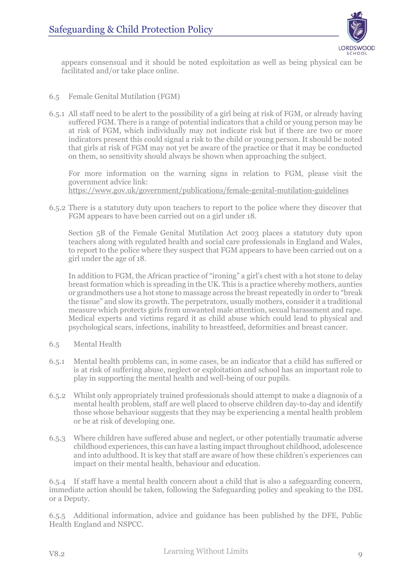

appears consensual and it should be noted exploitation as well as being physical can be facilitated and/or take place online.

- <span id="page-9-0"></span>6.5 Female Genital Mutilation (FGM)
- 6.5.1 All staff need to be alert to the possibility of a girl being at risk of FGM, or already having suffered FGM. There is a range of potential indicators that a child or young person may be at risk of FGM, which individually may not indicate risk but if there are two or more indicators present this could signal a risk to the child or young person. It should be noted that girls at risk of FGM may not yet be aware of the practice or that it may be conducted on them, so sensitivity should always be shown when approaching the subject.

For more information on the warning signs in relation to FGM, please visit the government advice link: <https://www.gov.uk/government/publications/female-genital-mutilation-guidelines>

6.5.2 There is a statutory duty upon teachers to report to the police where they discover that FGM appears to have been carried out on a girl under 18.

Section 5B of the Female Genital Mutilation Act 2003 places a statutory duty upon teachers along with regulated health and social care professionals in England and Wales, to report to the police where they suspect that FGM appears to have been carried out on a girl under the age of 18.

In addition to FGM, the African practice of "ironing" a girl's chest with a hot stone to delay breast formation which is spreading in the UK. This is a practice whereby mothers, aunties or grandmothers use a hot stone to massage across the breast repeatedly in order to "break the tissue" and slow its growth. The perpetrators, usually mothers, consider it a traditional measure which protects girls from unwanted male attention, sexual harassment and rape. Medical experts and victims regard it as child abuse which could lead to physical and psychological scars, infections, inability to breastfeed, deformities and breast cancer.

- 6.5 Mental Health
- 6.5.1 Mental health problems can, in some cases, be an indicator that a child has suffered or is at risk of suffering abuse, neglect or exploitation and school has an important role to play in supporting the mental health and well-being of our pupils.
- 6.5.2 Whilst only appropriately trained professionals should attempt to make a diagnosis of a mental health problem, staff are well placed to observe children day-to-day and identify those whose behaviour suggests that they may be experiencing a mental health problem or be at risk of developing one.
- 6.5.3 Where children have suffered abuse and neglect, or other potentially traumatic adverse childhood experiences, this can have a lasting impact throughout childhood, adolescence and into adulthood. It is key that staff are aware of how these children's experiences can impact on their mental health, behaviour and education.

6.5.4 If staff have a mental health concern about a child that is also a safeguarding concern, immediate action should be taken, following the Safeguarding policy and speaking to the DSL or a Deputy.

6.5.5 Additional information, advice and guidance has been published by the DFE, Public Health England and NSPCC.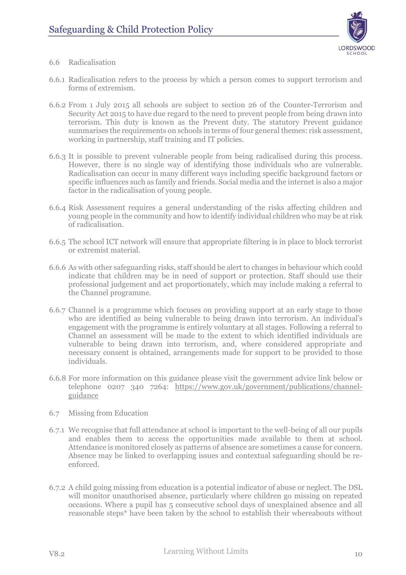

### <span id="page-10-0"></span>6.6 Radicalisation

- 6.6.1 Radicalisation refers to the process by which a person comes to support terrorism and forms of extremism.
- 6.6.2 From 1 July 2015 all schools are subject to section 26 of the Counter-Terrorism and Security Act 2015 to have due regard to the need to prevent people from being drawn into terrorism. This duty is known as the Prevent duty. The statutory Prevent guidance summarises the requirements on schools in terms of four general themes: risk assessment, working in partnership, staff training and IT policies.
- 6.6.3 It is possible to prevent vulnerable people from being radicalised during this process. However, there is no single way of identifying those individuals who are vulnerable. Radicalisation can occur in many different ways including specific background factors or specific influences such as family and friends. Social media and the internet is also a major factor in the radicalisation of young people.
- 6.6.4 Risk Assessment requires a general understanding of the risks affecting children and young people in the community and how to identify individual children who may be at risk of radicalisation.
- 6.6.5 The school ICT network will ensure that appropriate filtering is in place to block terrorist or extremist material.
- 6.6.6 As with other safeguarding risks, staff should be alert to changes in behaviour which could indicate that children may be in need of support or protection. Staff should use their professional judgement and act proportionately, which may include making a referral to the Channel programme.
- 6.6.7 Channel is a programme which focuses on providing support at an early stage to those who are identified as being vulnerable to being drawn into terrorism. An individual's engagement with the programme is entirely voluntary at all stages. Following a referral to Channel an assessment will be made to the extent to which identified individuals are vulnerable to being drawn into terrorism, and, where considered appropriate and necessary consent is obtained, arrangements made for support to be provided to those individuals.
- 6.6.8 For more information on this guidance please visit the government advice link below or telephone 0207 340 7264: [https://www.gov.uk/government/publications/channel](https://www.gov.uk/government/publications/channel-guidance)[guidance](https://www.gov.uk/government/publications/channel-guidance)
- <span id="page-10-1"></span>6.7 Missing from Education
- 6.7.1 We recognise that full attendance at school is important to the well-being of all our pupils and enables them to access the opportunities made available to them at school. Attendance is monitored closely as patterns of absence are sometimes a cause for concern. Absence may be linked to overlapping issues and contextual safeguarding should be reenforced.
- 6.7.2 A child going missing from education is a potential indicator of abuse or neglect. The DSL will monitor unauthorised absence, particularly where children go missing on repeated occasions. Where a pupil has 5 consecutive school days of unexplained absence and all reasonable steps\* have been taken by the school to establish their whereabouts without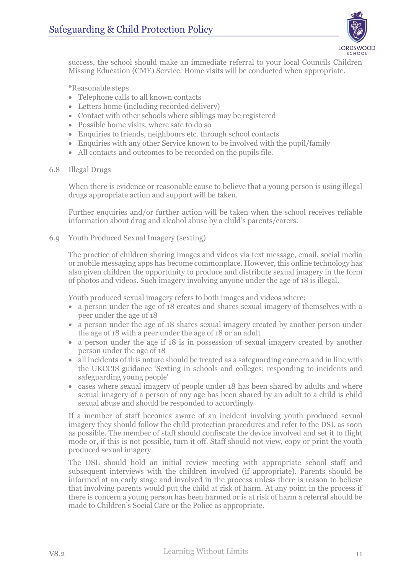

success, the school should make an immediate referral to your local Councils Children Missing Education (CME) Service. Home visits will be conducted when appropriate.

\*Reasonable steps

- Telephone calls to all known contacts
- Letters home (including recorded delivery)
- Contact with other schools where siblings may be registered
- Possible home visits, where safe to do so
- Enquiries to friends, neighbours etc. through school contacts
- Enquiries with any other Service known to be involved with the pupil/family
- All contacts and outcomes to be recorded on the pupils file.

#### <span id="page-11-0"></span>6.8 Illegal Drugs

When there is evidence or reasonable cause to believe that a young person is using illegal drugs appropriate action and support will be taken.

Further enquiries and/or further action will be taken when the school receives reliable information about drug and alcohol abuse by a child's parents/carers.

#### <span id="page-11-1"></span>6.9 Youth Produced Sexual Imagery (sexting)

The practice of children sharing images and videos via text message, email, social media or mobile messaging apps has become commonplace. However, this online technology has also given children the opportunity to produce and distribute sexual imagery in the form of photos and videos. Such imagery involving anyone under the age of 18 is illegal.

Youth produced sexual imagery refers to both images and videos where;

- a person under the age of 18 creates and shares sexual imagery of themselves with a peer under the age of 18
- a person under the age of 18 shares sexual imagery created by another person under the age of 18 with a peer under the age of 18 or an adult
- a person under the age if 18 is in possession of sexual imagery created by another person under the age of 18
- all incidents of this nature should be treated as a safeguarding concern and in line with the UKCCIS guidance 'Sexting in schools and colleges: responding to incidents and safeguarding young people'
- cases where sexual imagery of people under 18 has been shared by adults and where sexual imagery of a person of any age has been shared by an adult to a child is child sexual abuse and should be responded to accordingly

If a member of staff becomes aware of an incident involving youth produced sexual imagery they should follow the child protection procedures and refer to the DSL as soon as possible. The member of staff should confiscate the device involved and set it to flight mode or, if this is not possible, turn it off. Staff should not view, copy or print the youth produced sexual imagery.

The DSL should hold an initial review meeting with appropriate school staff and subsequent interviews with the children involved (if appropriate). Parents should be informed at an early stage and involved in the process unless there is reason to believe that involving parents would put the child at risk of harm. At any point in the process if there is concern a young person has been harmed or is at risk of harm a referral should be made to Children's Social Care or the Police as appropriate.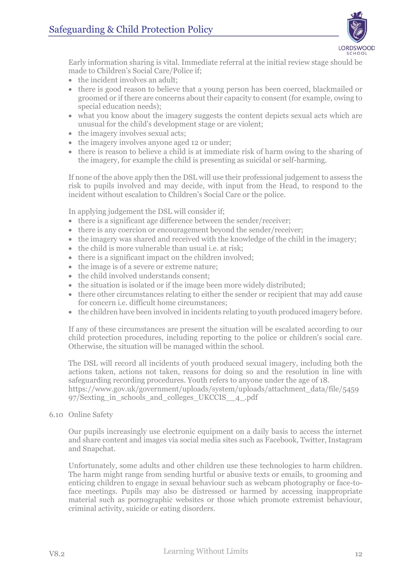

Early information sharing is vital. Immediate referral at the initial review stage should be made to Children's Social Care/Police if;

- the incident involves an adult:
- there is good reason to believe that a young person has been coerced, blackmailed or groomed or if there are concerns about their capacity to consent (for example, owing to special education needs);
- what you know about the imagery suggests the content depicts sexual acts which are unusual for the child's development stage or are violent;
- the imagery involves sexual acts;
- the imagery involves anyone aged 12 or under;
- there is reason to believe a child is at immediate risk of harm owing to the sharing of the imagery, for example the child is presenting as suicidal or self-harming.

If none of the above apply then the DSL will use their professional judgement to assess the risk to pupils involved and may decide, with input from the Head, to respond to the incident without escalation to Children's Social Care or the police.

In applying judgement the DSL will consider if;

- there is a significant age difference between the sender/receiver;
- there is any coercion or encouragement beyond the sender/receiver;
- the imagery was shared and received with the knowledge of the child in the imagery;
- $\bullet$  the child is more vulnerable than usual i.e. at risk;
- there is a significant impact on the children involved;
- the image is of a severe or extreme nature;
- the child involved understands consent:
- the situation is isolated or if the image been more widely distributed;
- there other circumstances relating to either the sender or recipient that may add cause for concern i.e. difficult home circumstances;
- the children have been involved in incidents relating to youth produced imagery before.

If any of these circumstances are present the situation will be escalated according to our child protection procedures, including reporting to the police or children's social care. Otherwise, the situation will be managed within the school.

The DSL will record all incidents of youth produced sexual imagery, including both the actions taken, actions not taken, reasons for doing so and the resolution in line with safeguarding recording procedures. Youth refers to anyone under the age of 18. https://www.gov.uk/government/uploads/system/uploads/attachment\_data/file/5459 97/Sexting\_in\_schools\_and\_colleges\_UKCCIS\_\_4\_.pdf

#### <span id="page-12-0"></span>6.10 Online Safety

Our pupils increasingly use electronic equipment on a daily basis to access the internet and share content and images via social media sites such as Facebook, Twitter, Instagram and Snapchat.

Unfortunately, some adults and other children use these technologies to harm children. The harm might range from sending hurtful or abusive texts or emails, to grooming and enticing children to engage in sexual behaviour such as webcam photography or face-toface meetings. Pupils may also be distressed or harmed by accessing inappropriate material such as pornographic websites or those which promote extremist behaviour, criminal activity, suicide or eating disorders.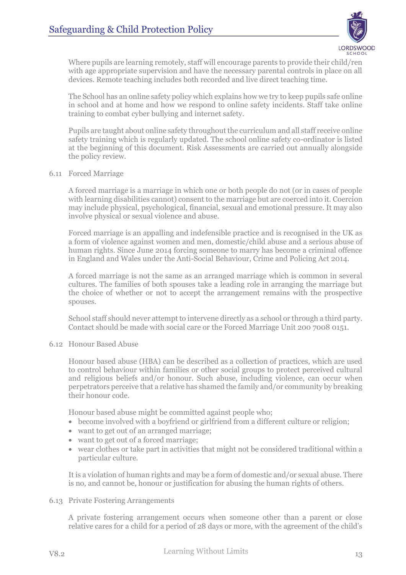

Where pupils are learning remotely, staff will encourage parents to provide their child/ren with age appropriate supervision and have the necessary parental controls in place on all devices. Remote teaching includes both recorded and live direct teaching time.

The School has an online safety policy which explains how we try to keep pupils safe online in school and at home and how we respond to online safety incidents. Staff take online training to combat cyber bullying and internet safety.

Pupils are taught about online safety throughout the curriculum and all staff receive online safety training which is regularly updated. The school online safety co-ordinator is listed at the beginning of this document. Risk Assessments are carried out annually alongside the policy review.

<span id="page-13-0"></span>6.11 Forced Marriage

A forced marriage is a marriage in which one or both people do not (or in cases of people with learning disabilities cannot) consent to the marriage but are coerced into it. Coercion may include physical, psychological, financial, sexual and emotional pressure. It may also involve physical or sexual violence and abuse.

Forced marriage is an appalling and indefensible practice and is recognised in the UK as a form of violence against women and men, domestic/child abuse and a serious abuse of human rights. Since June 2014 forcing someone to marry has become a criminal offence in England and Wales under the Anti-Social Behaviour, Crime and Policing Act 2014.

A forced marriage is not the same as an arranged marriage which is common in several cultures. The families of both spouses take a leading role in arranging the marriage but the choice of whether or not to accept the arrangement remains with the prospective spouses.

School staff should never attempt to intervene directly as a school or through a third party. Contact should be made with social care or the Forced Marriage Unit 200 7008 0151.

#### <span id="page-13-1"></span>6.12 Honour Based Abuse

Honour based abuse (HBA) can be described as a collection of practices, which are used to control behaviour within families or other social groups to protect perceived cultural and religious beliefs and/or honour. Such abuse, including violence, can occur when perpetrators perceive that a relative has shamed the family and/or community by breaking their honour code.

Honour based abuse might be committed against people who;

- become involved with a boyfriend or girlfriend from a different culture or religion;
- want to get out of an arranged marriage;
- want to get out of a forced marriage;
- wear clothes or take part in activities that might not be considered traditional within a particular culture.

It is a violation of human rights and may be a form of domestic and/or sexual abuse. There is no, and cannot be, honour or justification for abusing the human rights of others.

#### <span id="page-13-2"></span>6.13 Private Fostering Arrangements

A private fostering arrangement occurs when someone other than a parent or close relative cares for a child for a period of 28 days or more, with the agreement of the child's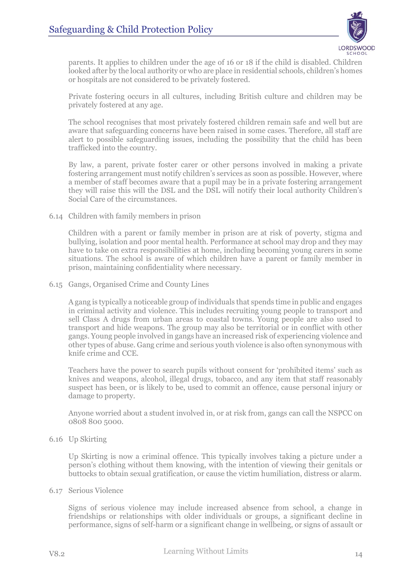

parents. It applies to children under the age of 16 or 18 if the child is disabled. Children looked after by the local authority or who are place in residential schools, children's homes or hospitals are not considered to be privately fostered.

Private fostering occurs in all cultures, including British culture and children may be privately fostered at any age.

The school recognises that most privately fostered children remain safe and well but are aware that safeguarding concerns have been raised in some cases. Therefore, all staff are alert to possible safeguarding issues, including the possibility that the child has been trafficked into the country.

By law, a parent, private foster carer or other persons involved in making a private fostering arrangement must notify children's services as soon as possible. However, where a member of staff becomes aware that a pupil may be in a private fostering arrangement they will raise this will the DSL and the DSL will notify their local authority Children's Social Care of the circumstances.

<span id="page-14-0"></span>6.14 Children with family members in prison

Children with a parent or family member in prison are at risk of poverty, stigma and bullying, isolation and poor mental health. Performance at school may drop and they may have to take on extra responsibilities at home, including becoming young carers in some situations. The school is aware of which children have a parent or family member in prison, maintaining confidentiality where necessary.

<span id="page-14-1"></span>6.15 Gangs, Organised Crime and County Lines

A gang is typically a noticeable group of individuals that spends time in public and engages in criminal activity and violence. This includes recruiting young people to transport and sell Class A drugs from urban areas to coastal towns. Young people are also used to transport and hide weapons. The group may also be territorial or in conflict with other gangs. Young people involved in gangs have an increased risk of experiencing violence and other types of abuse. Gang crime and serious youth violence is also often synonymous with knife crime and CCE.

Teachers have the power to search pupils without consent for 'prohibited items' such as knives and weapons, alcohol, illegal drugs, tobacco, and any item that staff reasonably suspect has been, or is likely to be, used to commit an offence, cause personal injury or damage to property.

Anyone worried about a student involved in, or at risk from, gangs can call the NSPCC on 0808 800 5000.

<span id="page-14-2"></span>6.16 Up Skirting

Up Skirting is now a criminal offence. This typically involves taking a picture under a person's clothing without them knowing, with the intention of viewing their genitals or buttocks to obtain sexual gratification, or cause the victim humiliation, distress or alarm.

<span id="page-14-3"></span>6.17 Serious Violence

Signs of serious violence may include increased absence from school, a change in friendships or relationships with older individuals or groups, a significant decline in performance, signs of self-harm or a significant change in wellbeing, or signs of assault or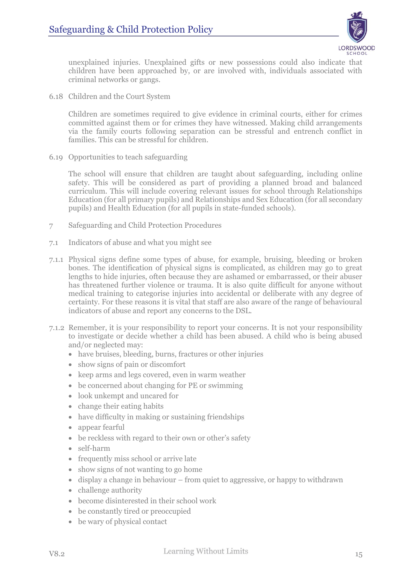

unexplained injuries. Unexplained gifts or new possessions could also indicate that children have been approached by, or are involved with, individuals associated with criminal networks or gangs.

<span id="page-15-0"></span>6.18 Children and the Court System

Children are sometimes required to give evidence in criminal courts, either for crimes committed against them or for crimes they have witnessed. Making child arrangements via the family courts following separation can be stressful and entrench conflict in families. This can be stressful for children.

6.19 Opportunities to teach safeguarding

The school will ensure that children are taught about safeguarding, including online safety. This will be considered as part of providing a planned broad and balanced curriculum. This will include covering relevant issues for school through Relationships Education (for all primary pupils) and Relationships and Sex Education (for all secondary pupils) and Health Education (for all pupils in state-funded schools).

- <span id="page-15-1"></span>7 Safeguarding and Child Protection Procedures
- <span id="page-15-2"></span>7.1 Indicators of abuse and what you might see
- 7.1.1 Physical signs define some types of abuse, for example, bruising, bleeding or broken bones. The identification of physical signs is complicated, as children may go to great lengths to hide injuries, often because they are ashamed or embarrassed, or their abuser has threatened further violence or trauma. It is also quite difficult for anyone without medical training to categorise injuries into accidental or deliberate with any degree of certainty. For these reasons it is vital that staff are also aware of the range of behavioural indicators of abuse and report any concerns to the DSL.
- 7.1.2 Remember, it is your responsibility to report your concerns. It is not your responsibility to investigate or decide whether a child has been abused. A child who is being abused and/or neglected may:
	- have bruises, bleeding, burns, fractures or other injuries
	- show signs of pain or discomfort
	- keep arms and legs covered, even in warm weather
	- be concerned about changing for PE or swimming
	- look unkempt and uncared for
	- $\bullet$  change their eating habits
	- have difficulty in making or sustaining friendships
	- appear fearful
	- be reckless with regard to their own or other's safety
	- self-harm
	- frequently miss school or arrive late
	- show signs of not wanting to go home
	- $\bullet$  display a change in behaviour from quiet to aggressive, or happy to withdrawn
	- challenge authority
	- become disinterested in their school work
	- be constantly tired or preoccupied
	- be wary of physical contact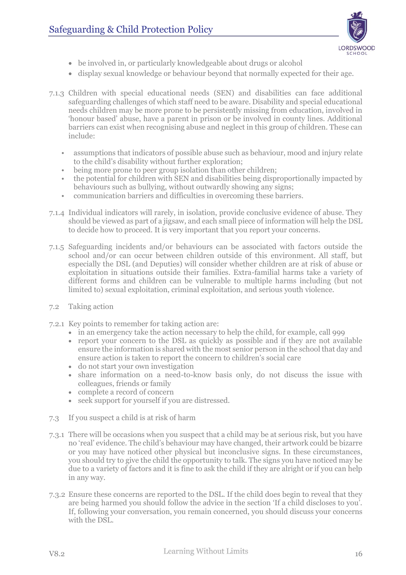

- be involved in, or particularly knowledgeable about drugs or alcohol
- display sexual knowledge or behaviour beyond that normally expected for their age.
- 7.1.3 Children with special educational needs (SEN) and disabilities can face additional safeguarding challenges of which staff need to be aware. Disability and special educational needs children may be more prone to be persistently missing from education, involved in 'honour based' abuse, have a parent in prison or be involved in county lines. Additional barriers can exist when recognising abuse and neglect in this group of children. These can include:
	- assumptions that indicators of possible abuse such as behaviour, mood and injury relate to the child's disability without further exploration;
	- being more prone to peer group isolation than other children;
	- the potential for children with SEN and disabilities being disproportionally impacted by behaviours such as bullying, without outwardly showing any signs;
	- communication barriers and difficulties in overcoming these barriers.
- 7.1.4 Individual indicators will rarely, in isolation, provide conclusive evidence of abuse. They should be viewed as part of a jigsaw, and each small piece of information will help the DSL to decide how to proceed. It is very important that you report your concerns.
- 7.1.5 Safeguarding incidents and/or behaviours can be associated with factors outside the school and/or can occur between children outside of this environment. All staff, but especially the DSL (and Deputies) will consider whether children are at risk of abuse or exploitation in situations outside their families. Extra-familial harms take a variety of different forms and children can be vulnerable to multiple harms including (but not limited to) sexual exploitation, criminal exploitation, and serious youth violence.
- <span id="page-16-0"></span>7.2 Taking action
- 7.2.1 Key points to remember for taking action are:
	- in an emergency take the action necessary to help the child, for example, call 999
	- report your concern to the DSL as quickly as possible and if they are not available ensure the information is shared with the most senior person in the school that day and ensure action is taken to report the concern to children's social care
	- do not start your own investigation
	- share information on a need-to-know basis only, do not discuss the issue with colleagues, friends or family
	- complete a record of concern
	- seek support for yourself if you are distressed.
- <span id="page-16-1"></span>7.3 If you suspect a child is at risk of harm
- 7.3.1 There will be occasions when you suspect that a child may be at serious risk, but you have no 'real' evidence. The child's behaviour may have changed, their artwork could be bizarre or you may have noticed other physical but inconclusive signs. In these circumstances, you should try to give the child the opportunity to talk. The signs you have noticed may be due to a variety of factors and it is fine to ask the child if they are alright or if you can help in any way.
- 7.3.2 Ensure these concerns are reported to the DSL. If the child does begin to reveal that they are being harmed you should follow the advice in the section 'If a child discloses to you'. If, following your conversation, you remain concerned, you should discuss your concerns with the DSL.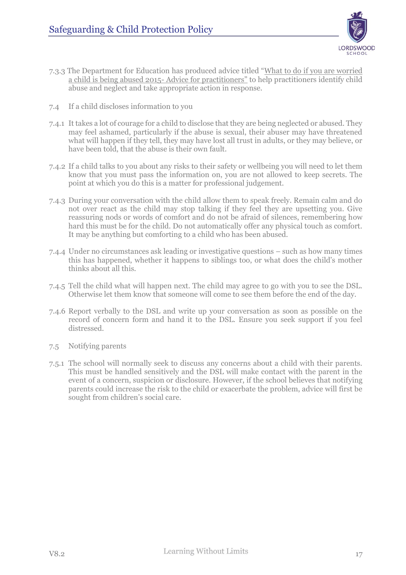

- 7.3.3 The Department for Education has produced advice titled "What to do if you are worried a child is being abused 2015- Advice for practitioners" to help practitioners identify child abuse and neglect and take appropriate action in response.
- <span id="page-17-0"></span>7.4 If a child discloses information to you
- 7.4.1 It takes a lot of courage for a child to disclose that they are being neglected or abused. They may feel ashamed, particularly if the abuse is sexual, their abuser may have threatened what will happen if they tell, they may have lost all trust in adults, or they may believe, or have been told, that the abuse is their own fault.
- 7.4.2 If a child talks to you about any risks to their safety or wellbeing you will need to let them know that you must pass the information on, you are not allowed to keep secrets. The point at which you do this is a matter for professional judgement.
- 7.4.3 During your conversation with the child allow them to speak freely. Remain calm and do not over react as the child may stop talking if they feel they are upsetting you. Give reassuring nods or words of comfort and do not be afraid of silences, remembering how hard this must be for the child. Do not automatically offer any physical touch as comfort. It may be anything but comforting to a child who has been abused.
- 7.4.4 Under no circumstances ask leading or investigative questions such as how many times this has happened, whether it happens to siblings too, or what does the child's mother thinks about all this.
- 7.4.5 Tell the child what will happen next. The child may agree to go with you to see the DSL. Otherwise let them know that someone will come to see them before the end of the day.
- 7.4.6 Report verbally to the DSL and write up your conversation as soon as possible on the record of concern form and hand it to the DSL. Ensure you seek support if you feel distressed.
- <span id="page-17-1"></span>7.5 Notifying parents
- 7.5.1 The school will normally seek to discuss any concerns about a child with their parents. This must be handled sensitively and the DSL will make contact with the parent in the event of a concern, suspicion or disclosure. However, if the school believes that notifying parents could increase the risk to the child or exacerbate the problem, advice will first be sought from children's social care.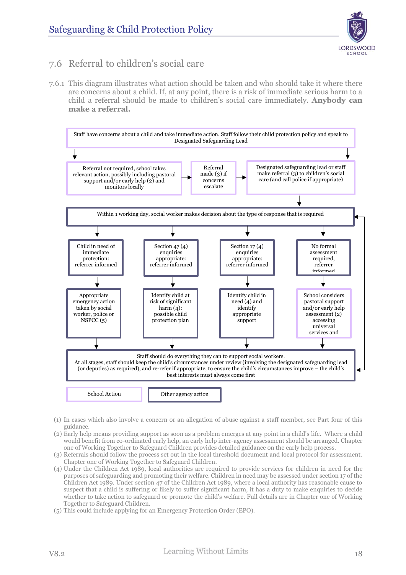

# <span id="page-18-0"></span>7.6 Referral to children's social care

7.6.1 This diagram illustrates what action should be taken and who should take it where there are concerns about a child. If, at any point, there is a risk of immediate serious harm to a child a referral should be made to children's social care immediately. **Anybody can make a referral.**



- (1) In cases which also involve a concern or an allegation of abuse against a staff member, see Part four of this guidance.
- (2) Early help means providing support as soon as a problem emerges at any point in a child's life. Where a child would benefit from co-ordinated early help, an early help inter-agency assessment should be arranged. Chapter one of Working Together to Safeguard Children provides detailed guidance on the early help process.
- (3) Referrals should follow the process set out in the local threshold document and local protocol for assessment. Chapter one of Working Together to Safeguard Children.
- (4) Under the Children Act 1989, local authorities are required to provide services for children in need for the purposes of safeguarding and promoting their welfare. Children in need may be assessed under section 17 of the Children Act 1989. Under section 47 of the Children Act 1989, where a local authority has reasonable cause to suspect that a child is suffering or likely to suffer significant harm, it has a duty to make enquiries to decide whether to take action to safeguard or promote the child's welfare. Full details are in Chapter one of Working Together to Safeguard Children.
- (5) This could include applying for an Emergency Protection Order (EPO).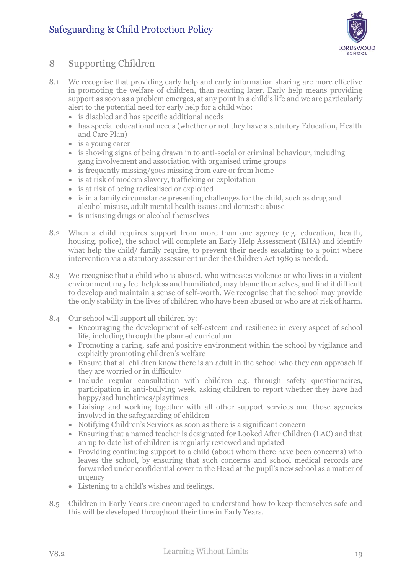

# <span id="page-19-0"></span>8 Supporting Children

- 8.1 We recognise that providing early help and early information sharing are more effective in promoting the welfare of children, than reacting later. Early help means providing support as soon as a problem emerges, at any point in a child's life and we are particularly alert to the potential need for early help for a child who:
	- is disabled and has specific additional needs
	- has special educational needs (whether or not they have a statutory Education, Health and Care Plan)
	- is a young carer
	- is showing signs of being drawn in to anti-social or criminal behaviour, including gang involvement and association with organised crime groups
	- is frequently missing/goes missing from care or from home
	- is at risk of modern slavery, trafficking or exploitation
	- is at risk of being radicalised or exploited
	- is in a family circumstance presenting challenges for the child, such as drug and alcohol misuse, adult mental health issues and domestic abuse
	- is misusing drugs or alcohol themselves
- 8.2 When a child requires support from more than one agency (e.g. education, health, housing, police), the school will complete an Early Help Assessment (EHA) and identify what help the child/ family require, to prevent their needs escalating to a point where intervention via a statutory assessment under the Children Act 1989 is needed.
- 8.3 We recognise that a child who is abused, who witnesses violence or who lives in a violent environment may feel helpless and humiliated, may blame themselves, and find it difficult to develop and maintain a sense of self-worth. We recognise that the school may provide the only stability in the lives of children who have been abused or who are at risk of harm.
- 8.4 Our school will support all children by:
	- Encouraging the development of self-esteem and resilience in every aspect of school life, including through the planned curriculum
	- Promoting a caring, safe and positive environment within the school by vigilance and explicitly promoting children's welfare
	- Ensure that all children know there is an adult in the school who they can approach if they are worried or in difficulty
	- Include regular consultation with children e.g. through safety questionnaires, participation in anti-bullying week, asking children to report whether they have had happy/sad lunchtimes/playtimes
	- Liaising and working together with all other support services and those agencies involved in the safeguarding of children
	- Notifying Children's Services as soon as there is a significant concern
	- Ensuring that a named teacher is designated for Looked After Children (LAC) and that an up to date list of children is regularly reviewed and updated
	- Providing continuing support to a child (about whom there have been concerns) who leaves the school, by ensuring that such concerns and school medical records are forwarded under confidential cover to the Head at the pupil's new school as a matter of urgency
	- Listening to a child's wishes and feelings.
- 8.5 Children in Early Years are encouraged to understand how to keep themselves safe and this will be developed throughout their time in Early Years.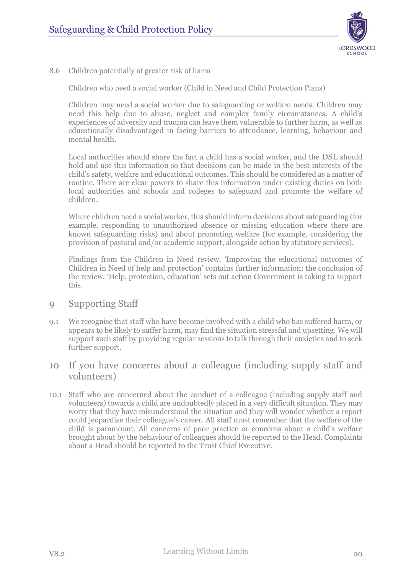

8.6 Children potentially at greater risk of harm

Children who need a social worker (Child in Need and Child Protection Plans)

Children may need a social worker due to safeguarding or welfare needs. Children may need this help due to abuse, neglect and complex family circumstances. A child's experiences of adversity and trauma can leave them vulnerable to further harm, as well as educationally disadvantaged in facing barriers to attendance, learning, behaviour and mental health.

Local authorities should share the fact a child has a social worker, and the DSL should hold and use this information so that decisions can be made in the best interests of the child's safety, welfare and educational outcomes. This should be considered as a matter of routine. There are clear powers to share this information under existing duties on both local authorities and schools and colleges to safeguard and promote the welfare of children.

Where children need a social worker, this should inform decisions about safeguarding (for example, responding to unauthorised absence or missing education where there are known safeguarding risks) and about promoting welfare (for example, considering the provision of pastoral and/or academic support, alongside action by statutory services).

Findings from the Children in Need review, 'Improving the educational outcomes of Children in Need of help and protection' contains further information; the conclusion of the review, 'Help, protection, education' sets out action Government is taking to support this.

- <span id="page-20-0"></span>9 Supporting Staff
- 9.1 We recognise that staff who have become involved with a child who has suffered harm, or appears to be likely to suffer harm, may find the situation stressful and upsetting. We will support such staff by providing regular sessions to talk through their anxieties and to seek further support.
- <span id="page-20-1"></span>10 If you have concerns about a colleague (including supply staff and volunteers)
- 10.1 Staff who are concerned about the conduct of a colleague (including supply staff and volunteers) towards a child are undoubtedly placed in a very difficult situation. They may worry that they have misunderstood the situation and they will wonder whether a report could jeopardise their colleague's career. All staff must remember that the welfare of the child is paramount. All concerns of poor practice or concerns about a child's welfare brought about by the behaviour of colleagues should be reported to the Head. Complaints about a Head should be reported to the Trust Chief Executive.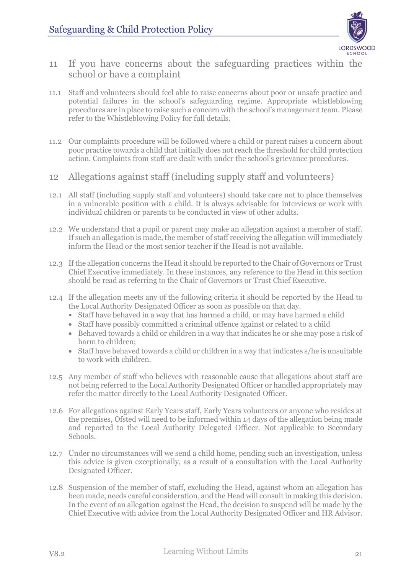

- <span id="page-21-0"></span>11 If you have concerns about the safeguarding practices within the school or have a complaint
- 11.1 Staff and volunteers should feel able to raise concerns about poor or unsafe practice and potential failures in the school's safeguarding regime. Appropriate whistleblowing procedures are in place to raise such a concern with the school's management team. Please refer to the Whistleblowing Policy for full details.
- 11.2 Our complaints procedure will be followed where a child or parent raises a concern about poor practice towards a child that initially does not reach the threshold for child protection action. Complaints from staff are dealt with under the school's grievance procedures.
- <span id="page-21-1"></span>12 Allegations against staff (including supply staff and volunteers)
- 12.1 All staff (including supply staff and volunteers) should take care not to place themselves in a vulnerable position with a child. It is always advisable for interviews or work with individual children or parents to be conducted in view of other adults.
- 12.2 We understand that a pupil or parent may make an allegation against a member of staff. If such an allegation is made, the member of staff receiving the allegation will immediately inform the Head or the most senior teacher if the Head is not available.
- 12.3 If the allegation concerns the Head it should be reported to the Chair of Governors or Trust Chief Executive immediately. In these instances, any reference to the Head in this section should be read as referring to the Chair of Governors or Trust Chief Executive.
- 12.4 If the allegation meets any of the following criteria it should be reported by the Head to the Local Authority Designated Officer as soon as possible on that day.
	- Staff have behaved in a way that has harmed a child, or may have harmed a child
	- Staff have possibly committed a criminal offence against or related to a child
	- Behaved towards a child or children in a way that indicates he or she may pose a risk of harm to children;
	- Staff have behaved towards a child or children in a way that indicates s/he is unsuitable to work with children.
- 12.5 Any member of staff who believes with reasonable cause that allegations about staff are not being referred to the Local Authority Designated Officer or handled appropriately may refer the matter directly to the Local Authority Designated Officer.
- 12.6 For allegations against Early Years staff, Early Years volunteers or anyone who resides at the premises, Ofsted will need to be informed within 14 days of the allegation being made and reported to the Local Authority Delegated Officer. Not applicable to Secondary Schools.
- 12.7 Under no circumstances will we send a child home, pending such an investigation, unless this advice is given exceptionally, as a result of a consultation with the Local Authority Designated Officer.
- 12.8 Suspension of the member of staff, excluding the Head, against whom an allegation has been made, needs careful consideration, and the Head will consult in making this decision. In the event of an allegation against the Head, the decision to suspend will be made by the Chief Executive with advice from the Local Authority Designated Officer and HR Advisor.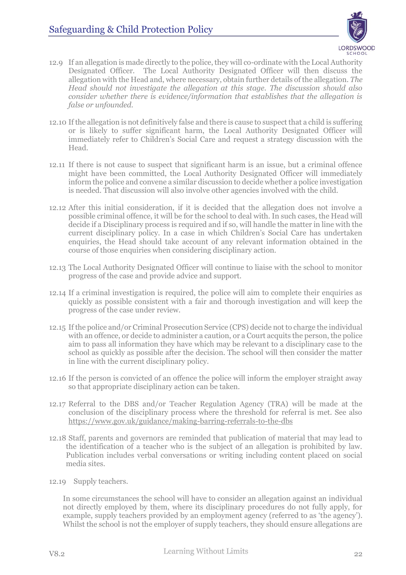

- 12.9 If an allegation is made directly to the police, they will co-ordinate with the Local Authority Designated Officer. The Local Authority Designated Officer will then discuss the allegation with the Head and, where necessary, obtain further details of the allegation. *The Head should not investigate the allegation at this stage. The discussion should also consider whether there is evidence/information that establishes that the allegation is false or unfounded.*
- 12.10 If the allegation is not definitively false and there is cause to suspect that a child is suffering or is likely to suffer significant harm, the Local Authority Designated Officer will immediately refer to Children's Social Care and request a strategy discussion with the Head.
- 12.11 If there is not cause to suspect that significant harm is an issue, but a criminal offence might have been committed, the Local Authority Designated Officer will immediately inform the police and convene a similar discussion to decide whether a police investigation is needed. That discussion will also involve other agencies involved with the child.
- 12.12 After this initial consideration, if it is decided that the allegation does not involve a possible criminal offence, it will be for the school to deal with. In such cases, the Head will decide if a Disciplinary process is required and if so, will handle the matter in line with the current disciplinary policy. In a case in which Children's Social Care has undertaken enquiries, the Head should take account of any relevant information obtained in the course of those enquiries when considering disciplinary action.
- 12.13 The Local Authority Designated Officer will continue to liaise with the school to monitor progress of the case and provide advice and support.
- 12.14 If a criminal investigation is required, the police will aim to complete their enquiries as quickly as possible consistent with a fair and thorough investigation and will keep the progress of the case under review.
- 12.15 If the police and/or Criminal Prosecution Service (CPS) decide not to charge the individual with an offence, or decide to administer a caution, or a Court acquits the person, the police aim to pass all information they have which may be relevant to a disciplinary case to the school as quickly as possible after the decision. The school will then consider the matter in line with the current disciplinary policy.
- 12.16 If the person is convicted of an offence the police will inform the employer straight away so that appropriate disciplinary action can be taken.
- 12.17 Referral to the DBS and/or Teacher Regulation Agency (TRA) will be made at the conclusion of the disciplinary process where the threshold for referral is met. See also <https://www.gov.uk/guidance/making-barring-referrals-to-the-dbs>
- 12.18 Staff, parents and governors are reminded that publication of material that may lead to the identification of a teacher who is the subject of an allegation is prohibited by law. Publication includes verbal conversations or writing including content placed on social media sites.
- 12.19 Supply teachers.

In some circumstances the school will have to consider an allegation against an individual not directly employed by them, where its disciplinary procedures do not fully apply, for example, supply teachers provided by an employment agency (referred to as 'the agency'). Whilst the school is not the employer of supply teachers, they should ensure allegations are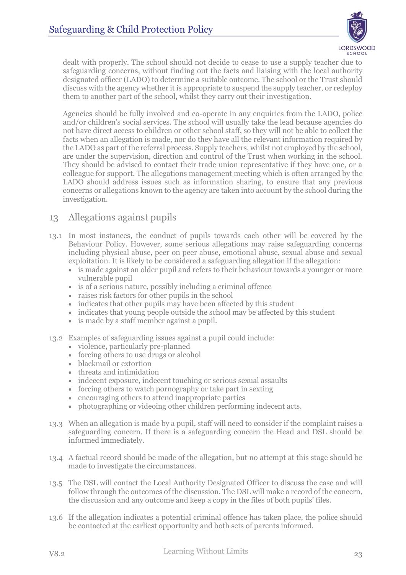

dealt with properly. The school should not decide to cease to use a supply teacher due to safeguarding concerns, without finding out the facts and liaising with the local authority designated officer (LADO) to determine a suitable outcome. The school or the Trust should discuss with the agency whether it is appropriate to suspend the supply teacher, or redeploy them to another part of the school, whilst they carry out their investigation.

Agencies should be fully involved and co-operate in any enquiries from the LADO, police and/or children's social services. The school will usually take the lead because agencies do not have direct access to children or other school staff, so they will not be able to collect the facts when an allegation is made, nor do they have all the relevant information required by the LADO as part of the referral process. Supply teachers, whilst not employed by the school, are under the supervision, direction and control of the Trust when working in the school. They should be advised to contact their trade union representative if they have one, or a colleague for support. The allegations management meeting which is often arranged by the LADO should address issues such as information sharing, to ensure that any previous concerns or allegations known to the agency are taken into account by the school during the investigation.

# <span id="page-23-0"></span>13 Allegations against pupils

- 13.1 In most instances, the conduct of pupils towards each other will be covered by the Behaviour Policy. However, some serious allegations may raise safeguarding concerns including physical abuse, peer on peer abuse, emotional abuse, sexual abuse and sexual exploitation. It is likely to be considered a safeguarding allegation if the allegation:
	- is made against an older pupil and refers to their behaviour towards a younger or more vulnerable pupil
	- is of a serious nature, possibly including a criminal offence
	- raises risk factors for other pupils in the school
	- indicates that other pupils may have been affected by this student
	- indicates that young people outside the school may be affected by this student
	- is made by a staff member against a pupil.
- 13.2 Examples of safeguarding issues against a pupil could include:
	- violence, particularly pre-planned
	- forcing others to use drugs or alcohol
	- blackmail or extortion
	- threats and intimidation
	- indecent exposure, indecent touching or serious sexual assaults
	- forcing others to watch pornography or take part in sexting
	- encouraging others to attend inappropriate parties
	- photographing or videoing other children performing indecent acts.
- 13.3 When an allegation is made by a pupil, staff will need to consider if the complaint raises a safeguarding concern. If there is a safeguarding concern the Head and DSL should be informed immediately.
- 13.4 A factual record should be made of the allegation, but no attempt at this stage should be made to investigate the circumstances.
- 13.5 The DSL will contact the Local Authority Designated Officer to discuss the case and will follow through the outcomes of the discussion. The DSL will make a record of the concern, the discussion and any outcome and keep a copy in the files of both pupils' files.
- 13.6 If the allegation indicates a potential criminal offence has taken place, the police should be contacted at the earliest opportunity and both sets of parents informed.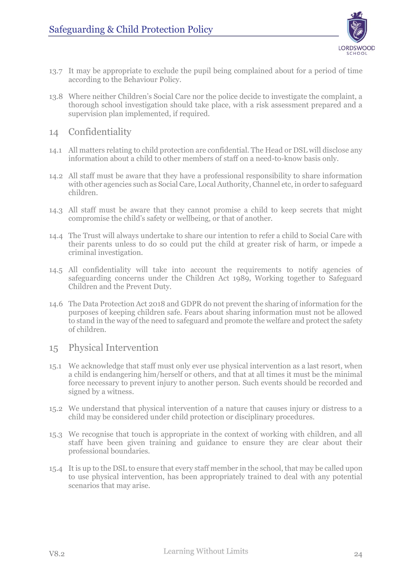

- 13.7 It may be appropriate to exclude the pupil being complained about for a period of time according to the Behaviour Policy.
- 13.8 Where neither Children's Social Care nor the police decide to investigate the complaint, a thorough school investigation should take place, with a risk assessment prepared and a supervision plan implemented, if required.

# <span id="page-24-0"></span>14 Confidentiality

- 14.1 All matters relating to child protection are confidential. The Head or DSL will disclose any information about a child to other members of staff on a need-to-know basis only.
- 14.2 All staff must be aware that they have a professional responsibility to share information with other agencies such as Social Care, Local Authority, Channel etc, in order to safeguard children.
- 14.3 All staff must be aware that they cannot promise a child to keep secrets that might compromise the child's safety or wellbeing, or that of another.
- 14.4 The Trust will always undertake to share our intention to refer a child to Social Care with their parents unless to do so could put the child at greater risk of harm, or impede a criminal investigation.
- 14.5 All confidentiality will take into account the requirements to notify agencies of safeguarding concerns under the Children Act 1989, Working together to Safeguard Children and the Prevent Duty.
- 14.6 The Data Protection Act 2018 and GDPR do not prevent the sharing of information for the purposes of keeping children safe. Fears about sharing information must not be allowed to stand in the way of the need to safeguard and promote the welfare and protect the safety of children.

## <span id="page-24-1"></span>15 Physical Intervention

- 15.1 We acknowledge that staff must only ever use physical intervention as a last resort, when a child is endangering him/herself or others, and that at all times it must be the minimal force necessary to prevent injury to another person. Such events should be recorded and signed by a witness.
- 15.2 We understand that physical intervention of a nature that causes injury or distress to a child may be considered under child protection or disciplinary procedures.
- 15.3 We recognise that touch is appropriate in the context of working with children, and all staff have been given training and guidance to ensure they are clear about their professional boundaries.
- 15.4 It is up to the DSL to ensure that every staff member in the school, that may be called upon to use physical intervention, has been appropriately trained to deal with any potential scenarios that may arise.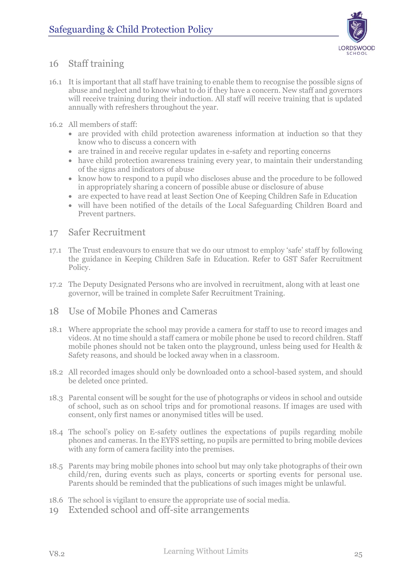

# <span id="page-25-0"></span>16 Staff training

- 16.1 It is important that all staff have training to enable them to recognise the possible signs of abuse and neglect and to know what to do if they have a concern. New staff and governors will receive training during their induction. All staff will receive training that is updated annually with refreshers throughout the year.
- 16.2 All members of staff:
	- are provided with child protection awareness information at induction so that they know who to discuss a concern with
	- are trained in and receive regular updates in e-safety and reporting concerns
	- have child protection awareness training every year, to maintain their understanding of the signs and indicators of abuse
	- know how to respond to a pupil who discloses abuse and the procedure to be followed in appropriately sharing a concern of possible abuse or disclosure of abuse
	- are expected to have read at least Section One of Keeping Children Safe in Education
	- will have been notified of the details of the Local Safeguarding Children Board and Prevent partners.

## <span id="page-25-1"></span>17 Safer Recruitment

- 17.1 The Trust endeavours to ensure that we do our utmost to employ 'safe' staff by following the guidance in Keeping Children Safe in Education. Refer to GST Safer Recruitment Policy.
- 17.2 The Deputy Designated Persons who are involved in recruitment, along with at least one governor, will be trained in complete Safer Recruitment Training.

## <span id="page-25-2"></span>18 Use of Mobile Phones and Cameras

- 18.1 Where appropriate the school may provide a camera for staff to use to record images and videos. At no time should a staff camera or mobile phone be used to record children. Staff mobile phones should not be taken onto the playground, unless being used for Health & Safety reasons, and should be locked away when in a classroom.
- 18.2 All recorded images should only be downloaded onto a school-based system, and should be deleted once printed.
- 18.3 Parental consent will be sought for the use of photographs or videos in school and outside of school, such as on school trips and for promotional reasons. If images are used with consent, only first names or anonymised titles will be used.
- 18.4 The school's policy on E-safety outlines the expectations of pupils regarding mobile phones and cameras. In the EYFS setting, no pupils are permitted to bring mobile devices with any form of camera facility into the premises.
- 18.5 Parents may bring mobile phones into school but may only take photographs of their own child/ren, during events such as plays, concerts or sporting events for personal use. Parents should be reminded that the publications of such images might be unlawful.
- 18.6 The school is vigilant to ensure the appropriate use of social media.
- <span id="page-25-3"></span>19 Extended school and off-site arrangements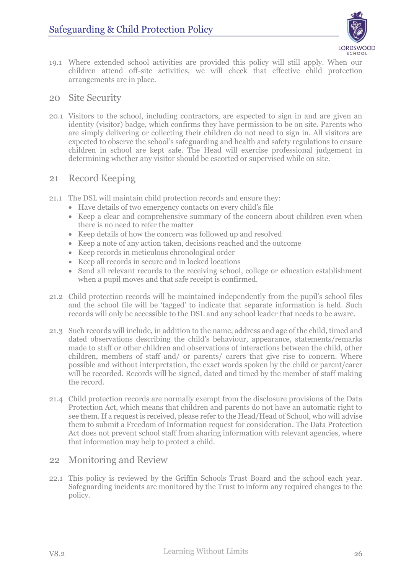

19.1 Where extended school activities are provided this policy will still apply. When our children attend off-site activities, we will check that effective child protection arrangements are in place.

## <span id="page-26-0"></span>20 Site Security

20.1 Visitors to the school, including contractors, are expected to sign in and are given an identity (visitor) badge, which confirms they have permission to be on site. Parents who are simply delivering or collecting their children do not need to sign in. All visitors are expected to observe the school's safeguarding and health and safety regulations to ensure children in school are kept safe. The Head will exercise professional judgement in determining whether any visitor should be escorted or supervised while on site.

## <span id="page-26-1"></span>21 Record Keeping

- 21.1 The DSL will maintain child protection records and ensure they:
	- Have details of two emergency contacts on every child's file
	- Keep a clear and comprehensive summary of the concern about children even when there is no need to refer the matter
	- Keep details of how the concern was followed up and resolved
	- Keep a note of any action taken, decisions reached and the outcome
	- Keep records in meticulous chronological order
	- Keep all records in secure and in locked locations
	- Send all relevant records to the receiving school, college or education establishment when a pupil moves and that safe receipt is confirmed.
- 21.2 Child protection records will be maintained independently from the pupil's school files and the school file will be 'tagged' to indicate that separate information is held. Such records will only be accessible to the DSL and any school leader that needs to be aware.
- 21.3 Such records will include, in addition to the name, address and age of the child, timed and dated observations describing the child's behaviour, appearance, statements/remarks made to staff or other children and observations of interactions between the child, other children, members of staff and/ or parents/ carers that give rise to concern. Where possible and without interpretation, the exact words spoken by the child or parent/carer will be recorded. Records will be signed, dated and timed by the member of staff making the record.
- 21.4 Child protection records are normally exempt from the disclosure provisions of the Data Protection Act, which means that children and parents do not have an automatic right to see them. If a request is received, please refer to the Head/Head of School, who will advise them to submit a Freedom of Information request for consideration. The Data Protection Act does not prevent school staff from sharing information with relevant agencies, where that information may help to protect a child.

# <span id="page-26-2"></span>22 Monitoring and Review

22.1 This policy is reviewed by the Griffin Schools Trust Board and the school each year. Safeguarding incidents are monitored by the Trust to inform any required changes to the policy.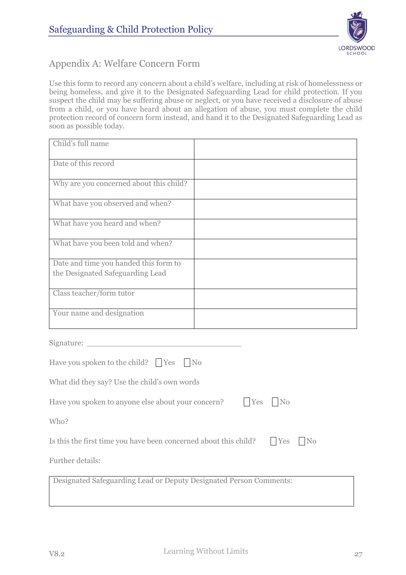

# <span id="page-27-0"></span>Appendix A: Welfare Concern Form

Use this form to record any concern about a child's welfare, including at risk of homelessness or being homeless, and give it to the Designated Safeguarding Lead for child protection. If you suspect the child may be suffering abuse or neglect, or you have received a disclosure of abuse from a child, or you have heard about an allegation of abuse, you must complete the child protection record of concern form instead, and hand it to the Designated Safeguarding Lead as soon as possible today.

| Child's full name                                                         |  |  |
|---------------------------------------------------------------------------|--|--|
| Date of this record                                                       |  |  |
| Why are you concerned about this child?                                   |  |  |
| What have you observed and when?                                          |  |  |
| What have you heard and when?                                             |  |  |
| What have you been told and when?                                         |  |  |
| Date and time you handed this form to<br>the Designated Safeguarding Lead |  |  |
| Class teacher/form tutor                                                  |  |  |
| Your name and designation                                                 |  |  |
|                                                                           |  |  |
| Have you spoken to the child? $\vert$ Yes $\vert$<br>N <sub>0</sub>       |  |  |

What did they say? Use the child's own words

|  |  | Have you spoken to anyone else about your concern? | $\bigcap$ Yes $\bigcap$ No |  |
|--|--|----------------------------------------------------|----------------------------|--|
|--|--|----------------------------------------------------|----------------------------|--|

Who?

Is this the first time you have been concerned about this child?  $\Box$  Yes  $\Box$  No

Designated Safeguarding Lead or Deputy Designated Person Comments: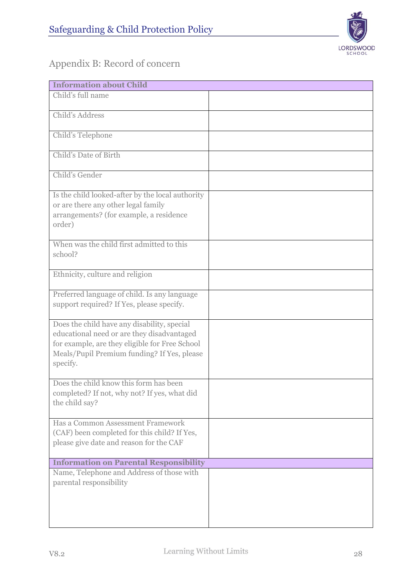# <span id="page-28-0"></span>Appendix B: Record of concern

| <b>Information about Child</b>                                                                                                                                                                         |  |
|--------------------------------------------------------------------------------------------------------------------------------------------------------------------------------------------------------|--|
| Child's full name                                                                                                                                                                                      |  |
| Child's Address                                                                                                                                                                                        |  |
| Child's Telephone                                                                                                                                                                                      |  |
| Child's Date of Birth                                                                                                                                                                                  |  |
| Child's Gender                                                                                                                                                                                         |  |
| Is the child looked-after by the local authority<br>or are there any other legal family<br>arrangements? (for example, a residence<br>order)                                                           |  |
| When was the child first admitted to this<br>school?                                                                                                                                                   |  |
| Ethnicity, culture and religion                                                                                                                                                                        |  |
| Preferred language of child. Is any language<br>support required? If Yes, please specify.                                                                                                              |  |
| Does the child have any disability, special<br>educational need or are they disadvantaged<br>for example, are they eligible for Free School<br>Meals/Pupil Premium funding? If Yes, please<br>specify. |  |
| Does the child know this form has been<br>completed? If not, why not? If yes, what did<br>the child say?                                                                                               |  |
| Has a Common Assessment Framework<br>(CAF) been completed for this child? If Yes,<br>please give date and reason for the CAF                                                                           |  |
| <b>Information on Parental Responsibility</b>                                                                                                                                                          |  |
| Name, Telephone and Address of those with<br>parental responsibility                                                                                                                                   |  |
|                                                                                                                                                                                                        |  |

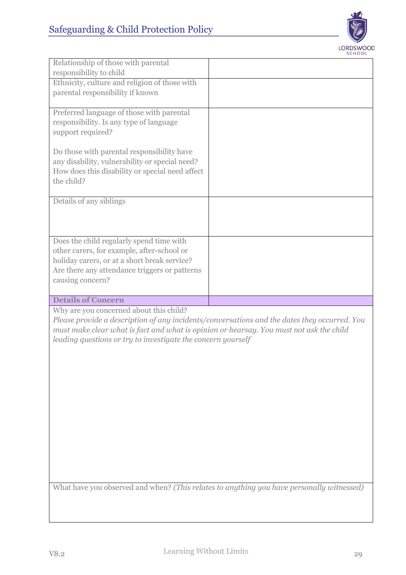

| Relationship of those with parental                                                               |  |
|---------------------------------------------------------------------------------------------------|--|
| responsibility to child                                                                           |  |
| Ethnicity, culture and religion of those with                                                     |  |
| parental responsibility if known                                                                  |  |
|                                                                                                   |  |
| Preferred language of those with parental                                                         |  |
| responsibility. Is any type of language                                                           |  |
| support required?                                                                                 |  |
|                                                                                                   |  |
| Do those with parental responsibility have                                                        |  |
| any disability, vulnerability or special need?<br>How does this disability or special need affect |  |
| the child?                                                                                        |  |
|                                                                                                   |  |
| Details of any siblings                                                                           |  |
|                                                                                                   |  |
|                                                                                                   |  |
|                                                                                                   |  |
| Does the child regularly spend time with                                                          |  |
| other carers, for example, after-school or                                                        |  |
| holiday carers, or at a short break service?                                                      |  |
| Are there any attendance triggers or patterns                                                     |  |
| causing concern?                                                                                  |  |
|                                                                                                   |  |
| <b>Details of Concern</b><br>الأفاري والمتابع والمستمر والمستقرر والمستنبذة<br>$TAT$ <sub>2</sub> |  |

Why are you concerned about this child?

*Please provide a description of any incidents/conversations and the dates they occurred. You must make clear what is fact and what is opinion or hearsay. You must not ask the child leading questions or try to investigate the concern yourself*

What have you observed and when? *(This relates to anything you have personally witnessed)*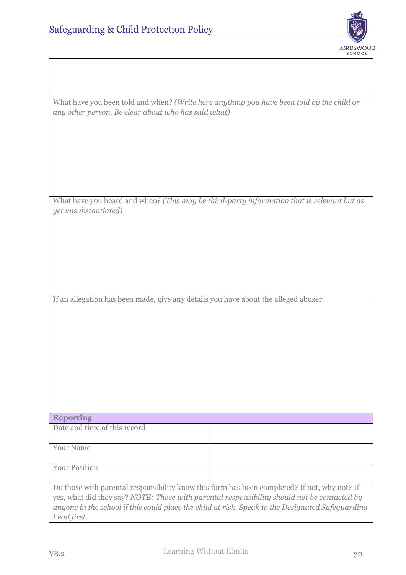

| What have you been told and when? (Write here anything you have been told by the child or<br>any other person. Be clear about who has said what) |  |  |
|--------------------------------------------------------------------------------------------------------------------------------------------------|--|--|
|                                                                                                                                                  |  |  |
|                                                                                                                                                  |  |  |
|                                                                                                                                                  |  |  |
|                                                                                                                                                  |  |  |
|                                                                                                                                                  |  |  |
|                                                                                                                                                  |  |  |
|                                                                                                                                                  |  |  |
|                                                                                                                                                  |  |  |
| What have you heard and when? (This may be third-party information that is relevant but as                                                       |  |  |
| yet unsubstantiated)                                                                                                                             |  |  |
|                                                                                                                                                  |  |  |
|                                                                                                                                                  |  |  |
|                                                                                                                                                  |  |  |
|                                                                                                                                                  |  |  |
|                                                                                                                                                  |  |  |
|                                                                                                                                                  |  |  |
|                                                                                                                                                  |  |  |
|                                                                                                                                                  |  |  |
| If an allegation has been made, give any details you have about the alleged abuser:                                                              |  |  |
|                                                                                                                                                  |  |  |
|                                                                                                                                                  |  |  |
|                                                                                                                                                  |  |  |
|                                                                                                                                                  |  |  |
|                                                                                                                                                  |  |  |
|                                                                                                                                                  |  |  |
|                                                                                                                                                  |  |  |
|                                                                                                                                                  |  |  |
|                                                                                                                                                  |  |  |
|                                                                                                                                                  |  |  |
|                                                                                                                                                  |  |  |
|                                                                                                                                                  |  |  |
| <b>Reporting</b>                                                                                                                                 |  |  |
| Date and time of this record                                                                                                                     |  |  |
|                                                                                                                                                  |  |  |
| <b>Your Name</b>                                                                                                                                 |  |  |
|                                                                                                                                                  |  |  |
| <b>Your Position</b>                                                                                                                             |  |  |
|                                                                                                                                                  |  |  |
|                                                                                                                                                  |  |  |
| Do those with parental responsibility know this form has been completed? If not, why not? If                                                     |  |  |
| yes, what did they say? NOTE: Those with parental responsibility should not be contacted by                                                      |  |  |
| anyone in the school if this could place the child at risk. Speak to the Designated Safeguarding                                                 |  |  |
| Lead first.                                                                                                                                      |  |  |